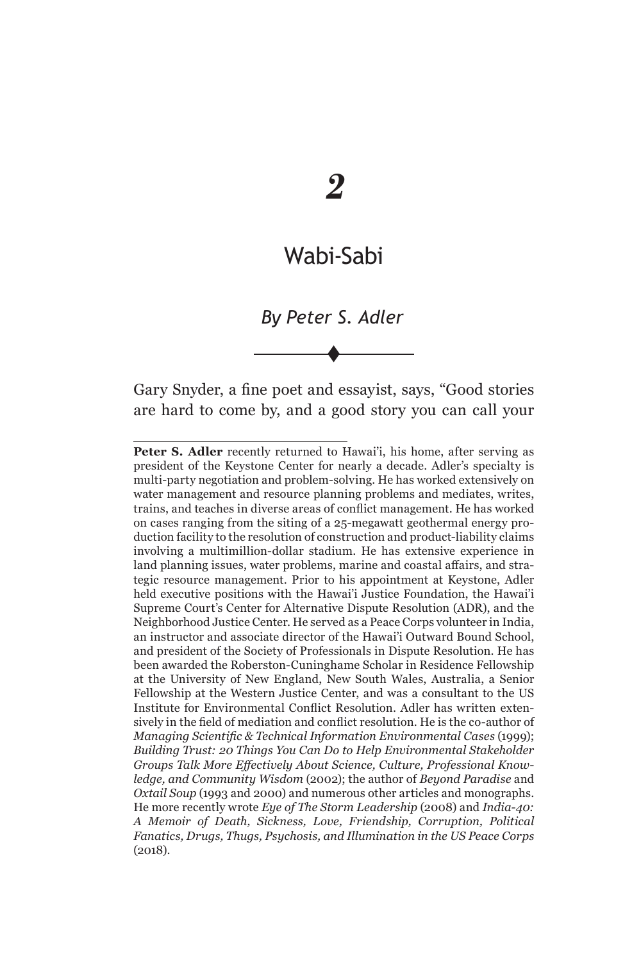# *2*

# Wabi-Sabi

*By Peter S. Adler*\*

 $\blacklozenge$ 

Gary Snyder, a fine poet and essayist, says, "Good stories are hard to come by, and a good story you can call your

Peter S. Adler recently returned to Hawai'i, his home, after serving as president of the Keystone Center for nearly a decade. Adler's specialty is multi-party negotiation and problem-solving. He has worked extensively on water management and resource planning problems and mediates, writes, trains, and teaches in diverse areas of conflict management. He has worked on cases ranging from the siting of a 25-megawatt geothermal energy production facility to the resolution of construction and product-liability claims involving a multimillion-dollar stadium. He has extensive experience in land planning issues, water problems, marine and coastal affairs, and strategic resource management. Prior to his appointment at Keystone, Adler held executive positions with the Hawai'i Justice Foundation, the Hawai'i Supreme Court's Center for Alternative Dispute Resolution (ADR), and the Neighborhood Justice Center. He served as a Peace Corps volunteer in India, an instructor and associate director of the Hawai'i Outward Bound School, and president of the Society of Professionals in Dispute Resolution. He has been awarded the Roberston-Cuninghame Scholar in Residence Fellowship at the University of New England, New South Wales, Australia, a Senior Fellowship at the Western Justice Center, and was a consultant to the US Institute for Environmental Conflict Resolution. Adler has written extensively in the field of mediation and conflict resolution. He is the co-author of *Managing Scientific & Technical Information Environmental Cases* (1999); *Building Trust: 20 Things You Can Do to Help Environmental Stakeholder Groups Talk More Effectively About Science, Culture, Professional Knowledge, and Community Wisdom* (2002); the author of *Beyond Paradise* and *Oxtail Soup* (1993 and 2000) and numerous other articles and monographs. He more recently wrote *Eye of The Storm Leadership* (2008) and *India-40: A Memoir of Death, Sickness, Love, Friendship, Corruption, Political Fanatics, Drugs, Thugs, Psychosis, and Illumination in the US Peace Corps*  (2018).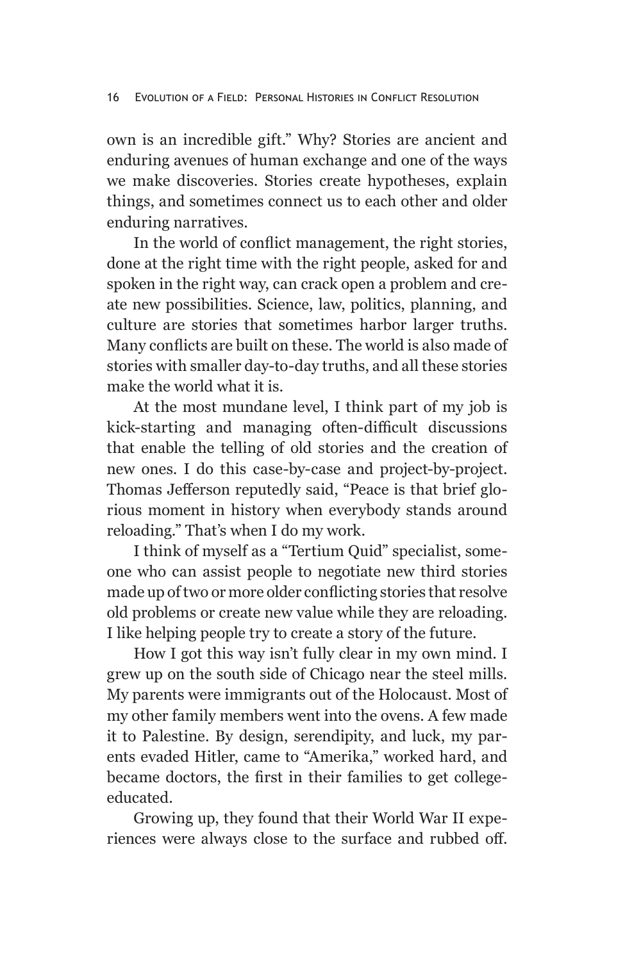own is an incredible gift." Why? Stories are ancient and enduring avenues of human exchange and one of the ways we make discoveries. Stories create hypotheses, explain things, and sometimes connect us to each other and older enduring narratives.

In the world of conflict management, the right stories, done at the right time with the right people, asked for and spoken in the right way, can crack open a problem and create new possibilities. Science, law, politics, planning, and culture are stories that sometimes harbor larger truths. Many conflicts are built on these. The world is also made of stories with smaller day-to-day truths, and all these stories make the world what it is.

At the most mundane level, I think part of my job is kick-starting and managing often-difficult discussions that enable the telling of old stories and the creation of new ones. I do this case-by-case and project-by-project. Thomas Jefferson reputedly said, "Peace is that brief glorious moment in history when everybody stands around reloading." That's when I do my work.

I think of myself as a "Tertium Quid" specialist, someone who can assist people to negotiate new third stories made up of two or more older conflicting stories that resolve old problems or create new value while they are reloading. I like helping people try to create a story of the future.

How I got this way isn't fully clear in my own mind. I grew up on the south side of Chicago near the steel mills. My parents were immigrants out of the Holocaust. Most of my other family members went into the ovens. A few made it to Palestine. By design, serendipity, and luck, my parents evaded Hitler, came to "Amerika," worked hard, and became doctors, the first in their families to get collegeeducated.

Growing up, they found that their World War II experiences were always close to the surface and rubbed off.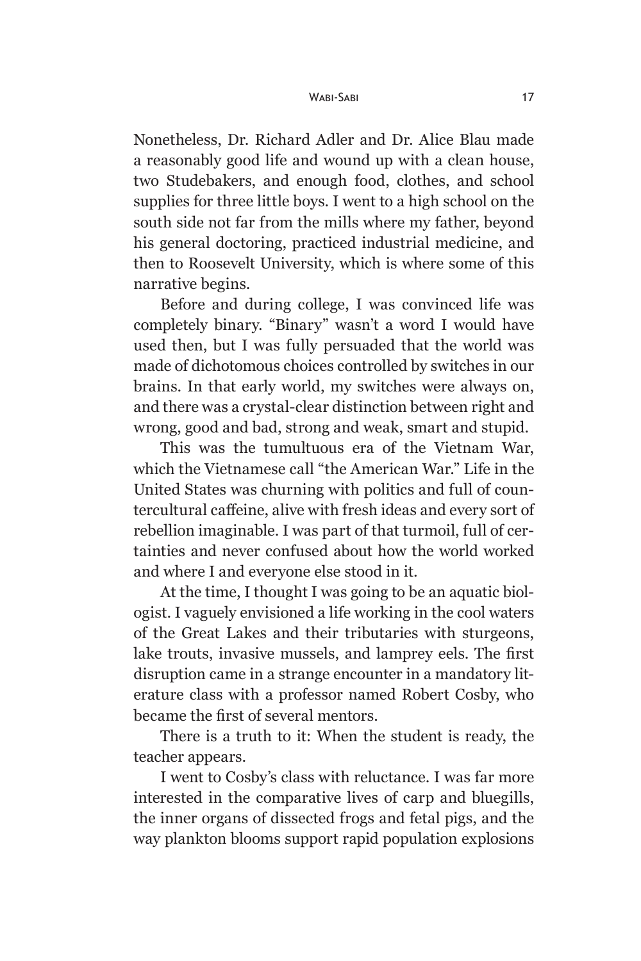#### Wabi-Sabi 17

Nonetheless, Dr. Richard Adler and Dr. Alice Blau made a reasonably good life and wound up with a clean house, two Studebakers, and enough food, clothes, and school supplies for three little boys. I went to a high school on the south side not far from the mills where my father, beyond his general doctoring, practiced industrial medicine, and then to Roosevelt University, which is where some of this narrative begins.

Before and during college, I was convinced life was completely binary. "Binary" wasn't a word I would have used then, but I was fully persuaded that the world was made of dichotomous choices controlled by switches in our brains. In that early world, my switches were always on, and there was a crystal-clear distinction between right and wrong, good and bad, strong and weak, smart and stupid.

This was the tumultuous era of the Vietnam War, which the Vietnamese call "the American War." Life in the United States was churning with politics and full of countercultural caffeine, alive with fresh ideas and every sort of rebellion imaginable. I was part of that turmoil, full of certainties and never confused about how the world worked and where I and everyone else stood in it.

At the time, I thought I was going to be an aquatic biologist. I vaguely envisioned a life working in the cool waters of the Great Lakes and their tributaries with sturgeons, lake trouts, invasive mussels, and lamprey eels. The first disruption came in a strange encounter in a mandatory literature class with a professor named Robert Cosby, who became the first of several mentors.

There is a truth to it: When the student is ready, the teacher appears.

I went to Cosby's class with reluctance. I was far more interested in the comparative lives of carp and bluegills, the inner organs of dissected frogs and fetal pigs, and the way plankton blooms support rapid population explosions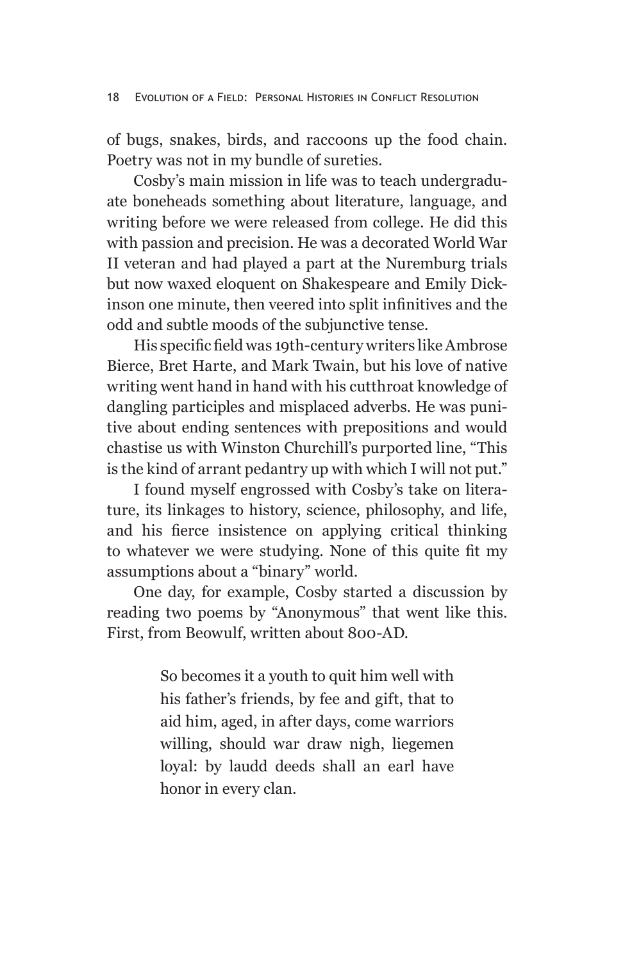of bugs, snakes, birds, and raccoons up the food chain. Poetry was not in my bundle of sureties.

Cosby's main mission in life was to teach undergraduate boneheads something about literature, language, and writing before we were released from college. He did this with passion and precision. He was a decorated World War II veteran and had played a part at the Nuremburg trials but now waxed eloquent on Shakespeare and Emily Dickinson one minute, then veered into split infinitives and the odd and subtle moods of the subjunctive tense.

His specific field was 19th-century writers like Ambrose Bierce, Bret Harte, and Mark Twain, but his love of native writing went hand in hand with his cutthroat knowledge of dangling participles and misplaced adverbs. He was punitive about ending sentences with prepositions and would chastise us with Winston Churchill's purported line, "This is the kind of arrant pedantry up with which I will not put."

I found myself engrossed with Cosby's take on literature, its linkages to history, science, philosophy, and life, and his fierce insistence on applying critical thinking to whatever we were studying. None of this quite fit my assumptions about a "binary" world.

One day, for example, Cosby started a discussion by reading two poems by "Anonymous" that went like this. First, from Beowulf, written about 800-AD.

> So becomes it a youth to quit him well with his father's friends, by fee and gift, that to aid him, aged, in after days, come warriors willing, should war draw nigh, liegemen loyal: by laudd deeds shall an earl have honor in every clan.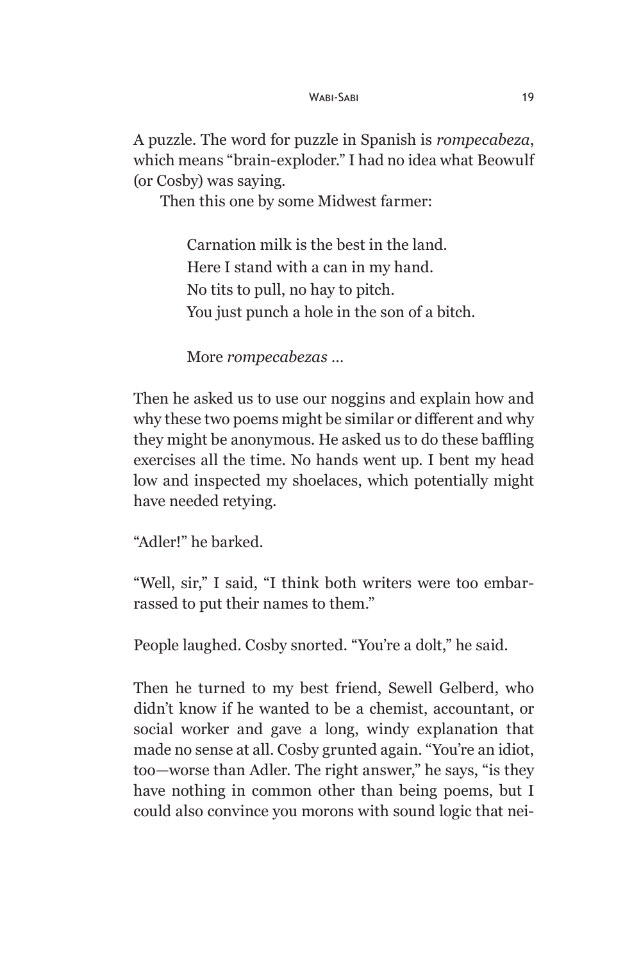A puzzle. The word for puzzle in Spanish is *rompecabeza*, which means "brain-exploder." I had no idea what Beowulf (or Cosby) was saying.

Then this one by some Midwest farmer:

Carnation milk is the best in the land. Here I stand with a can in my hand. No tits to pull, no hay to pitch. You just punch a hole in the son of a bitch.

More *rompecabezas* …

Then he asked us to use our noggins and explain how and why these two poems might be similar or different and why they might be anonymous. He asked us to do these baffling exercises all the time. No hands went up. I bent my head low and inspected my shoelaces, which potentially might have needed retying.

"Adler!" he barked.

"Well, sir," I said, "I think both writers were too embarrassed to put their names to them."

People laughed. Cosby snorted. "You're a dolt," he said.

Then he turned to my best friend, Sewell Gelberd, who didn't know if he wanted to be a chemist, accountant, or social worker and gave a long, windy explanation that made no sense at all. Cosby grunted again. "You're an idiot, too—worse than Adler. The right answer," he says, "is they have nothing in common other than being poems, but I could also convince you morons with sound logic that nei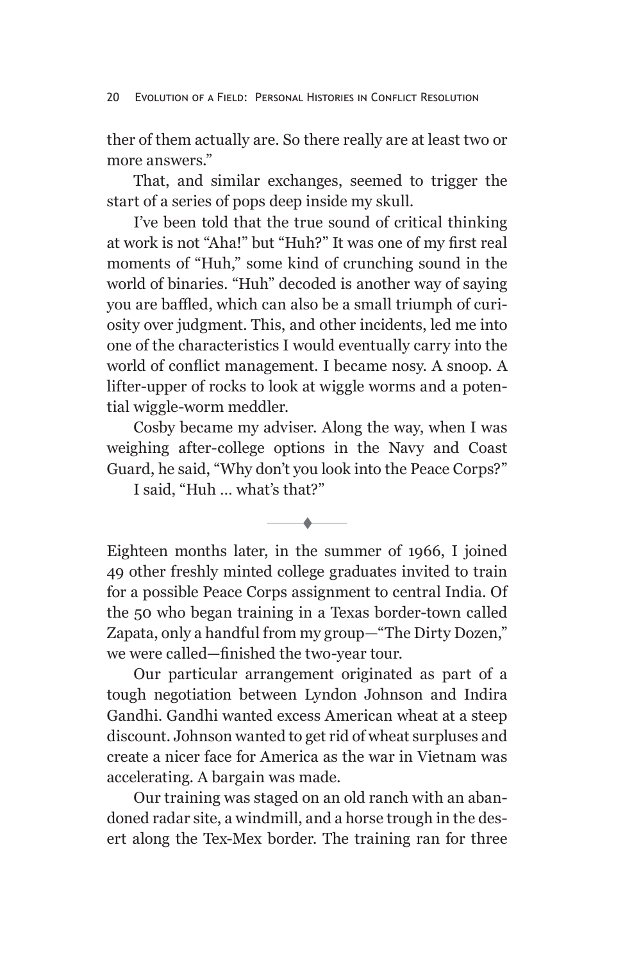ther of them actually are. So there really are at least two or more answers."

That, and similar exchanges, seemed to trigger the start of a series of pops deep inside my skull.

I've been told that the true sound of critical thinking at work is not "Aha!" but "Huh?" It was one of my first real moments of "Huh," some kind of crunching sound in the world of binaries. "Huh" decoded is another way of saying you are baffled, which can also be a small triumph of curiosity over judgment. This, and other incidents, led me into one of the characteristics I would eventually carry into the world of conflict management. I became nosy. A snoop. A lifter-upper of rocks to look at wiggle worms and a potential wiggle-worm meddler.

Cosby became my adviser. Along the way, when I was weighing after-college options in the Navy and Coast Guard, he said, "Why don't you look into the Peace Corps?"

I said, "Huh … what's that?"

t

Eighteen months later, in the summer of 1966, I joined 49 other freshly minted college graduates invited to train for a possible Peace Corps assignment to central India. Of the 50 who began training in a Texas border-town called Zapata, only a handful from my group—"The Dirty Dozen," we were called—finished the two-year tour.

Our particular arrangement originated as part of a tough negotiation between Lyndon Johnson and Indira Gandhi. Gandhi wanted excess American wheat at a steep discount. Johnson wanted to get rid of wheat surpluses and create a nicer face for America as the war in Vietnam was accelerating. A bargain was made.

Our training was staged on an old ranch with an abandoned radar site, a windmill, and a horse trough in the desert along the Tex-Mex border. The training ran for three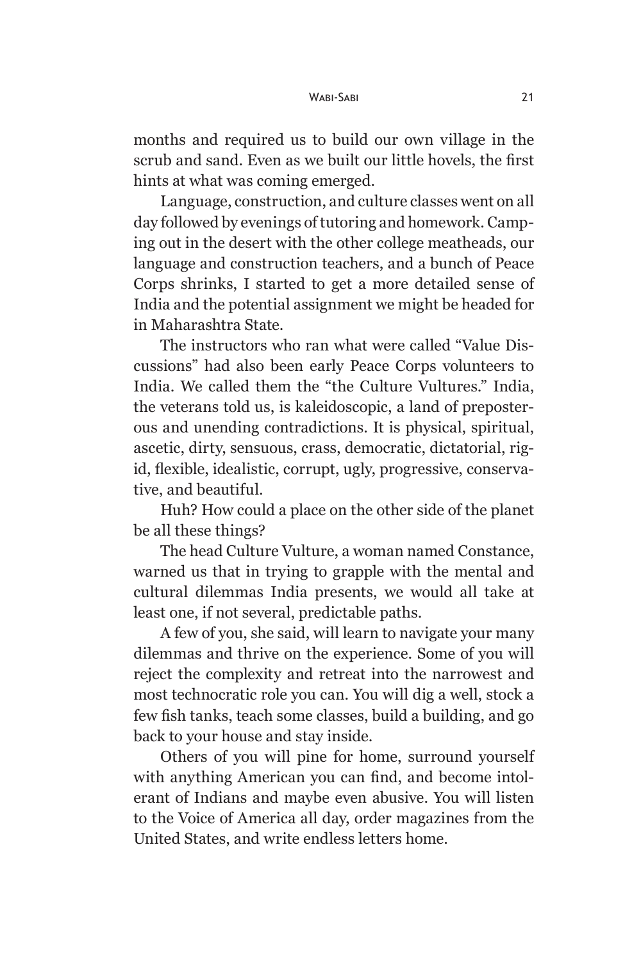months and required us to build our own village in the scrub and sand. Even as we built our little hovels, the first hints at what was coming emerged.

Language, construction, and culture classes went on all day followed by evenings of tutoring and homework. Camping out in the desert with the other college meatheads, our language and construction teachers, and a bunch of Peace Corps shrinks, I started to get a more detailed sense of India and the potential assignment we might be headed for in Maharashtra State.

The instructors who ran what were called "Value Discussions" had also been early Peace Corps volunteers to India. We called them the "the Culture Vultures." India, the veterans told us, is kaleidoscopic, a land of preposterous and unending contradictions. It is physical, spiritual, ascetic, dirty, sensuous, crass, democratic, dictatorial, rigid, flexible, idealistic, corrupt, ugly, progressive, conservative, and beautiful.

Huh? How could a place on the other side of the planet be all these things?

The head Culture Vulture, a woman named Constance, warned us that in trying to grapple with the mental and cultural dilemmas India presents, we would all take at least one, if not several, predictable paths.

A few of you, she said, will learn to navigate your many dilemmas and thrive on the experience. Some of you will reject the complexity and retreat into the narrowest and most technocratic role you can. You will dig a well, stock a few fish tanks, teach some classes, build a building, and go back to your house and stay inside.

Others of you will pine for home, surround yourself with anything American you can find, and become intolerant of Indians and maybe even abusive. You will listen to the Voice of America all day, order magazines from the United States, and write endless letters home.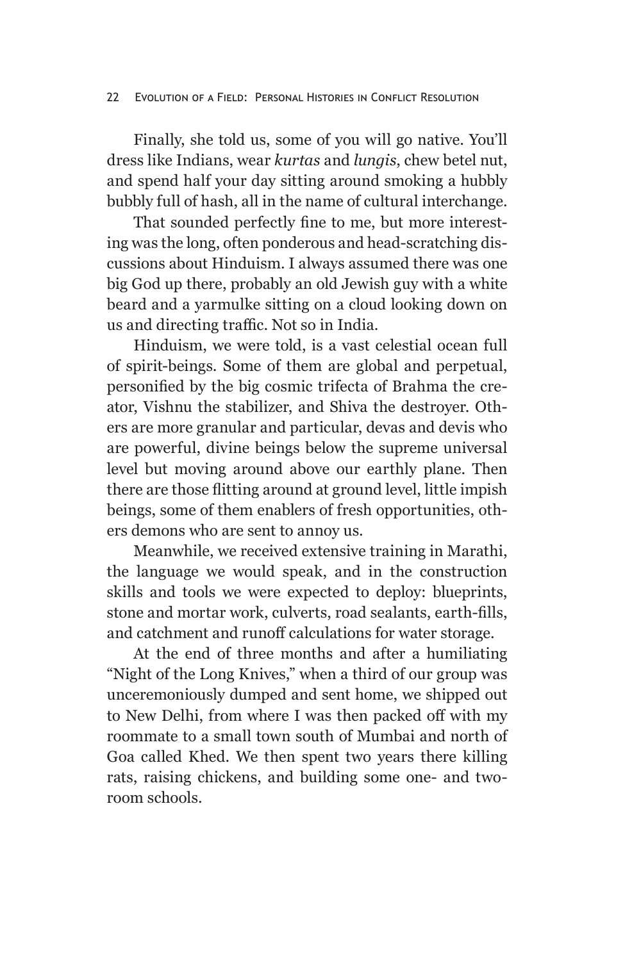#### 22 Evolution of a Field: Personal Histories in Conflict Resolution

Finally, she told us, some of you will go native. You'll dress like Indians, wear *kurtas* and *lungis*, chew betel nut, and spend half your day sitting around smoking a hubbly bubbly full of hash, all in the name of cultural interchange.

That sounded perfectly fine to me, but more interesting was the long, often ponderous and head-scratching discussions about Hinduism. I always assumed there was one big God up there, probably an old Jewish guy with a white beard and a yarmulke sitting on a cloud looking down on us and directing traffic. Not so in India.

Hinduism, we were told, is a vast celestial ocean full of spirit-beings. Some of them are global and perpetual, personified by the big cosmic trifecta of Brahma the creator, Vishnu the stabilizer, and Shiva the destroyer. Others are more granular and particular, devas and devis who are powerful, divine beings below the supreme universal level but moving around above our earthly plane. Then there are those flitting around at ground level, little impish beings, some of them enablers of fresh opportunities, others demons who are sent to annoy us.

Meanwhile, we received extensive training in Marathi, the language we would speak, and in the construction skills and tools we were expected to deploy: blueprints, stone and mortar work, culverts, road sealants, earth-fills, and catchment and runoff calculations for water storage.

At the end of three months and after a humiliating "Night of the Long Knives," when a third of our group was unceremoniously dumped and sent home, we shipped out to New Delhi, from where I was then packed off with my roommate to a small town south of Mumbai and north of Goa called Khed. We then spent two years there killing rats, raising chickens, and building some one- and tworoom schools.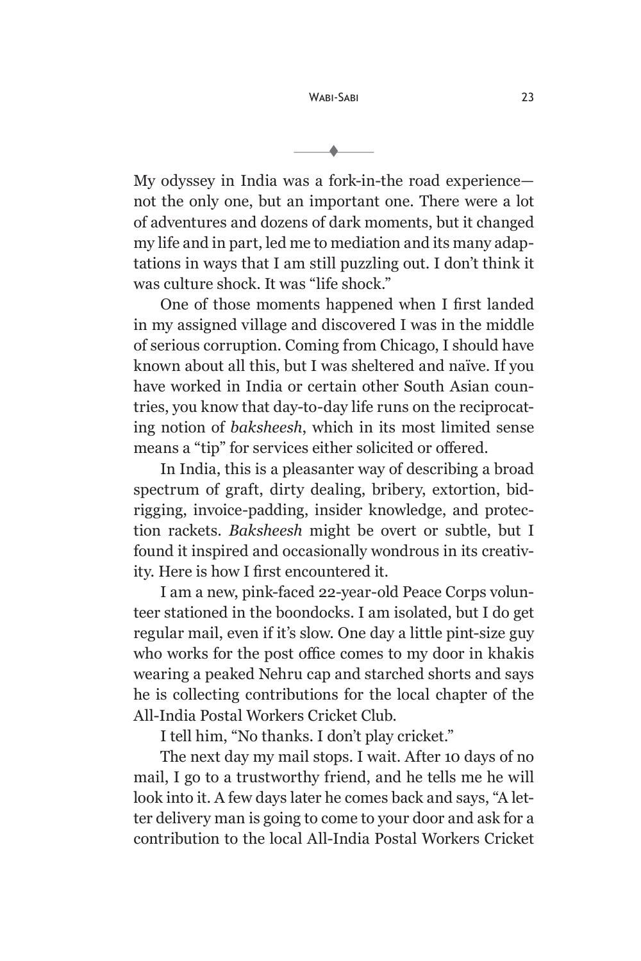t

My odyssey in India was a fork-in-the road experience not the only one, but an important one. There were a lot of adventures and dozens of dark moments, but it changed my life and in part, led me to mediation and its many adaptations in ways that I am still puzzling out. I don't think it was culture shock. It was "life shock."

One of those moments happened when I first landed in my assigned village and discovered I was in the middle of serious corruption. Coming from Chicago, I should have known about all this, but I was sheltered and naïve. If you have worked in India or certain other South Asian countries, you know that day-to-day life runs on the reciprocating notion of *baksheesh*, which in its most limited sense means a "tip" for services either solicited or offered.

In India, this is a pleasanter way of describing a broad spectrum of graft, dirty dealing, bribery, extortion, bidrigging, invoice-padding, insider knowledge, and protection rackets. *Baksheesh* might be overt or subtle, but I found it inspired and occasionally wondrous in its creativity. Here is how I first encountered it.

I am a new, pink-faced 22-year-old Peace Corps volunteer stationed in the boondocks. I am isolated, but I do get regular mail, even if it's slow. One day a little pint-size guy who works for the post office comes to my door in khakis wearing a peaked Nehru cap and starched shorts and says he is collecting contributions for the local chapter of the All-India Postal Workers Cricket Club.

I tell him, "No thanks. I don't play cricket."

The next day my mail stops. I wait. After 10 days of no mail, I go to a trustworthy friend, and he tells me he will look into it. A few days later he comes back and says, "A letter delivery man is going to come to your door and ask for a contribution to the local All-India Postal Workers Cricket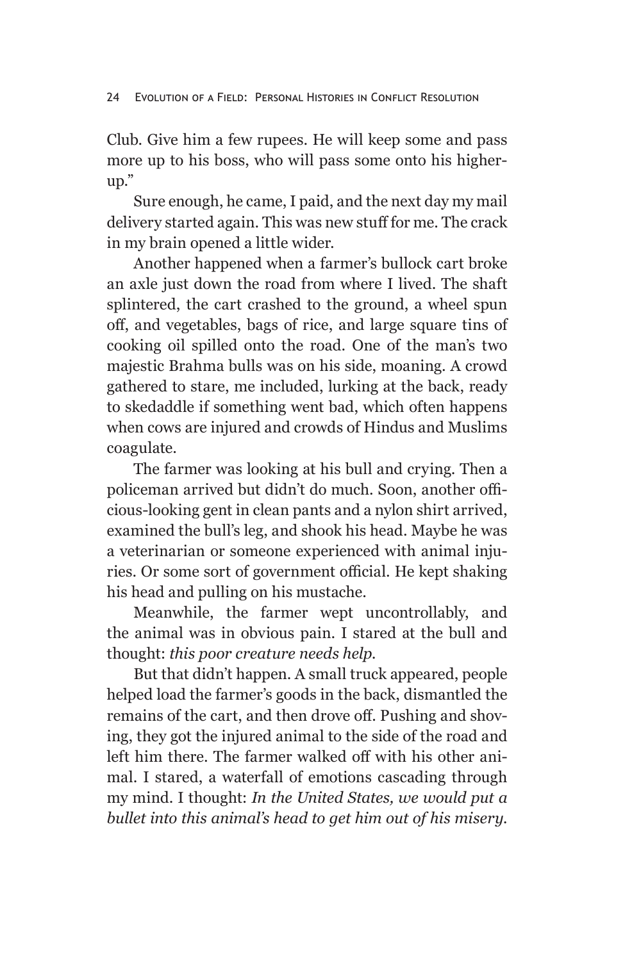Club. Give him a few rupees. He will keep some and pass more up to his boss, who will pass some onto his higherup."

Sure enough, he came, I paid, and the next day my mail delivery started again. This was new stuff for me. The crack in my brain opened a little wider.

Another happened when a farmer's bullock cart broke an axle just down the road from where I lived. The shaft splintered, the cart crashed to the ground, a wheel spun off, and vegetables, bags of rice, and large square tins of cooking oil spilled onto the road. One of the man's two majestic Brahma bulls was on his side, moaning. A crowd gathered to stare, me included, lurking at the back, ready to skedaddle if something went bad, which often happens when cows are injured and crowds of Hindus and Muslims coagulate.

The farmer was looking at his bull and crying. Then a policeman arrived but didn't do much. Soon, another officious-looking gent in clean pants and a nylon shirt arrived, examined the bull's leg, and shook his head. Maybe he was a veterinarian or someone experienced with animal injuries. Or some sort of government official. He kept shaking his head and pulling on his mustache.

Meanwhile, the farmer wept uncontrollably, and the animal was in obvious pain. I stared at the bull and thought: *this poor creature needs help.*

But that didn't happen. A small truck appeared, people helped load the farmer's goods in the back, dismantled the remains of the cart, and then drove off. Pushing and shoving, they got the injured animal to the side of the road and left him there. The farmer walked off with his other animal. I stared, a waterfall of emotions cascading through my mind. I thought: *In the United States, we would put a bullet into this animal's head to get him out of his misery.*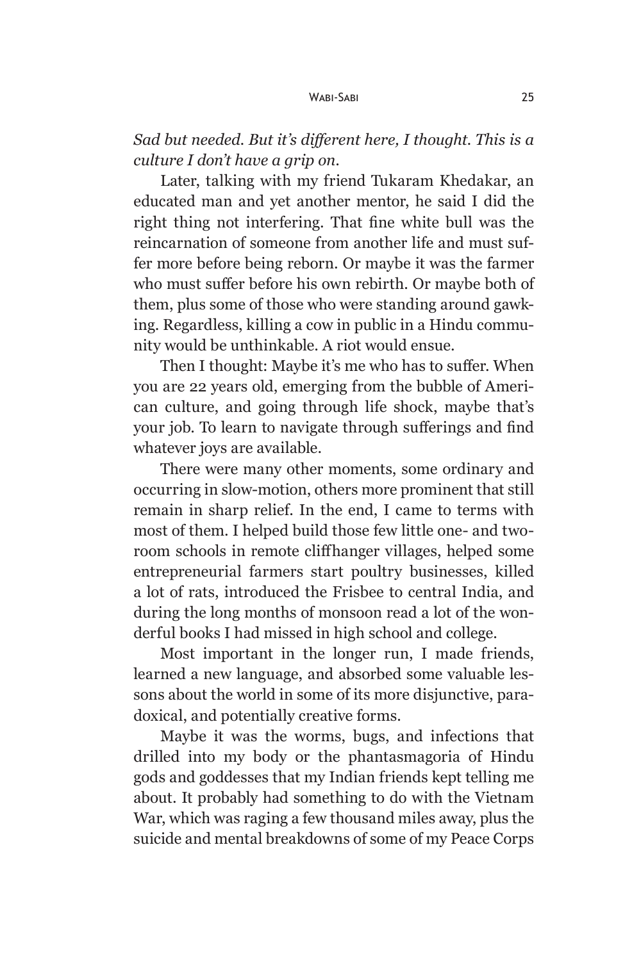*Sad but needed. But it's different here, I thought. This is a culture I don't have a grip on*.

Later, talking with my friend Tukaram Khedakar, an educated man and yet another mentor, he said I did the right thing not interfering. That fine white bull was the reincarnation of someone from another life and must suffer more before being reborn. Or maybe it was the farmer who must suffer before his own rebirth. Or maybe both of them, plus some of those who were standing around gawking. Regardless, killing a cow in public in a Hindu community would be unthinkable. A riot would ensue.

Then I thought: Maybe it's me who has to suffer. When you are 22 years old, emerging from the bubble of American culture, and going through life shock, maybe that's your job. To learn to navigate through sufferings and find whatever joys are available.

There were many other moments, some ordinary and occurring in slow-motion, others more prominent that still remain in sharp relief. In the end, I came to terms with most of them. I helped build those few little one- and tworoom schools in remote cliffhanger villages, helped some entrepreneurial farmers start poultry businesses, killed a lot of rats, introduced the Frisbee to central India, and during the long months of monsoon read a lot of the wonderful books I had missed in high school and college.

Most important in the longer run, I made friends, learned a new language, and absorbed some valuable lessons about the world in some of its more disjunctive, paradoxical, and potentially creative forms.

Maybe it was the worms, bugs, and infections that drilled into my body or the phantasmagoria of Hindu gods and goddesses that my Indian friends kept telling me about. It probably had something to do with the Vietnam War, which was raging a few thousand miles away, plus the suicide and mental breakdowns of some of my Peace Corps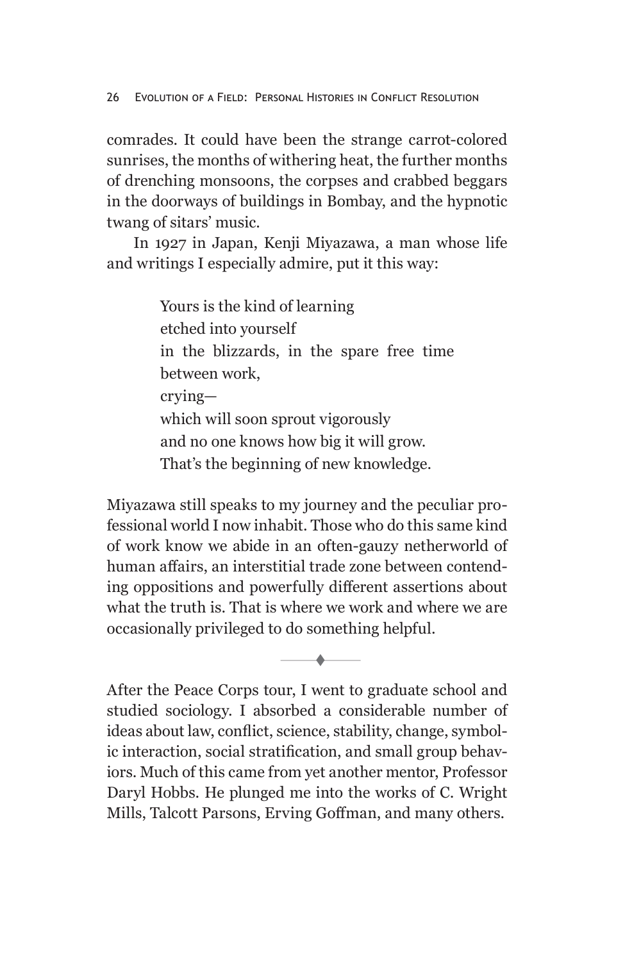comrades. It could have been the strange carrot-colored sunrises, the months of withering heat, the further months of drenching monsoons, the corpses and crabbed beggars in the doorways of buildings in Bombay, and the hypnotic twang of sitars' music.

In 1927 in Japan, Kenji Miyazawa, a man whose life and writings I especially admire, put it this way:

> Yours is the kind of learning etched into yourself in the blizzards, in the spare free time between work, crying which will soon sprout vigorously and no one knows how big it will grow. That's the beginning of new knowledge.

Miyazawa still speaks to my journey and the peculiar professional world I now inhabit. Those who do this same kind of work know we abide in an often-gauzy netherworld of human affairs, an interstitial trade zone between contending oppositions and powerfully different assertions about what the truth is. That is where we work and where we are occasionally privileged to do something helpful.

t

After the Peace Corps tour, I went to graduate school and studied sociology. I absorbed a considerable number of ideas about law, conflict, science, stability, change, symbolic interaction, social stratification, and small group behaviors. Much of this came from yet another mentor, Professor Daryl Hobbs. He plunged me into the works of C. Wright Mills, Talcott Parsons, Erving Goffman, and many others.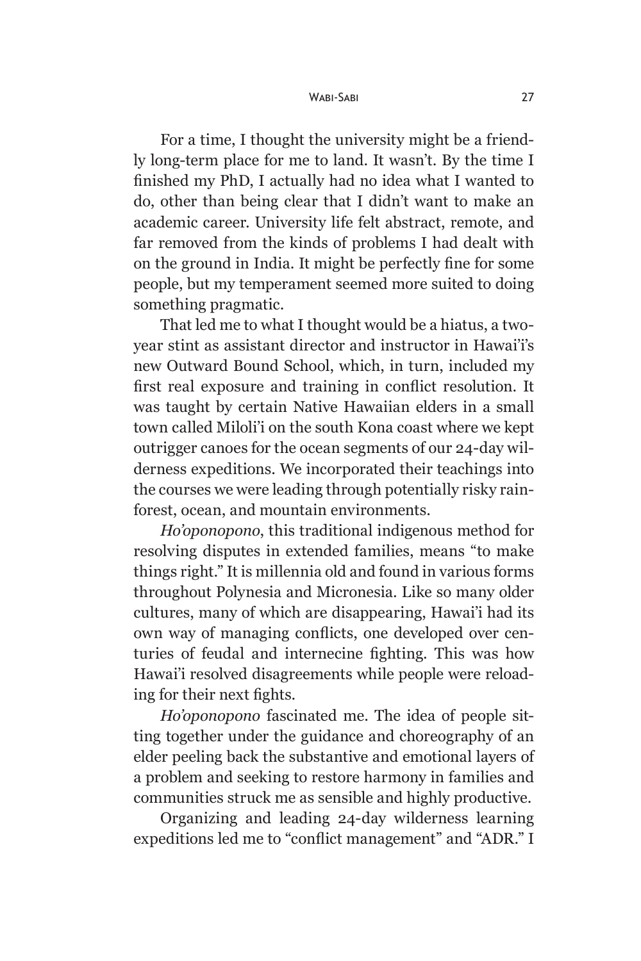#### Wabi-Sabi 27

For a time, I thought the university might be a friendly long-term place for me to land. It wasn't. By the time I finished my PhD, I actually had no idea what I wanted to do, other than being clear that I didn't want to make an academic career. University life felt abstract, remote, and far removed from the kinds of problems I had dealt with on the ground in India. It might be perfectly fine for some people, but my temperament seemed more suited to doing something pragmatic.

That led me to what I thought would be a hiatus, a twoyear stint as assistant director and instructor in Hawai'i's new Outward Bound School, which, in turn, included my first real exposure and training in conflict resolution. It was taught by certain Native Hawaiian elders in a small town called Miloli'i on the south Kona coast where we kept outrigger canoes for the ocean segments of our 24-day wilderness expeditions. We incorporated their teachings into the courses we were leading through potentially risky rainforest, ocean, and mountain environments.

*Ho'oponopono*, this traditional indigenous method for resolving disputes in extended families, means "to make things right." It is millennia old and found in various forms throughout Polynesia and Micronesia. Like so many older cultures, many of which are disappearing, Hawai'i had its own way of managing conflicts, one developed over centuries of feudal and internecine fighting. This was how Hawai'i resolved disagreements while people were reloading for their next fights.

*Ho'oponopono* fascinated me. The idea of people sitting together under the guidance and choreography of an elder peeling back the substantive and emotional layers of a problem and seeking to restore harmony in families and communities struck me as sensible and highly productive.

Organizing and leading 24-day wilderness learning expeditions led me to "conflict management" and "ADR." I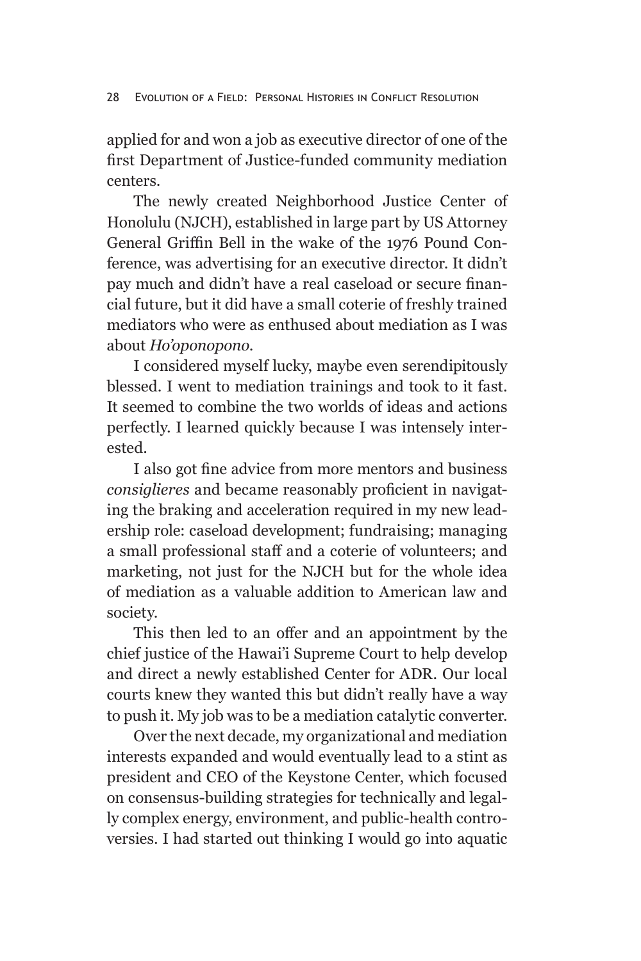applied for and won a job as executive director of one of the first Department of Justice-funded community mediation centers.

The newly created Neighborhood Justice Center of Honolulu (NJCH), established in large part by US Attorney General Griffin Bell in the wake of the 1976 Pound Conference, was advertising for an executive director. It didn't pay much and didn't have a real caseload or secure financial future, but it did have a small coterie of freshly trained mediators who were as enthused about mediation as I was about *Ho'oponopono*.

I considered myself lucky, maybe even serendipitously blessed. I went to mediation trainings and took to it fast. It seemed to combine the two worlds of ideas and actions perfectly. I learned quickly because I was intensely interested.

I also got fine advice from more mentors and business *consiglieres* and became reasonably proficient in navigating the braking and acceleration required in my new leadership role: caseload development; fundraising; managing a small professional staff and a coterie of volunteers; and marketing, not just for the NJCH but for the whole idea of mediation as a valuable addition to American law and society.

This then led to an offer and an appointment by the chief justice of the Hawai'i Supreme Court to help develop and direct a newly established Center for ADR. Our local courts knew they wanted this but didn't really have a way to push it. My job was to be a mediation catalytic converter.

Over the next decade, my organizational and mediation interests expanded and would eventually lead to a stint as president and CEO of the Keystone Center, which focused on consensus-building strategies for technically and legally complex energy, environment, and public-health controversies. I had started out thinking I would go into aquatic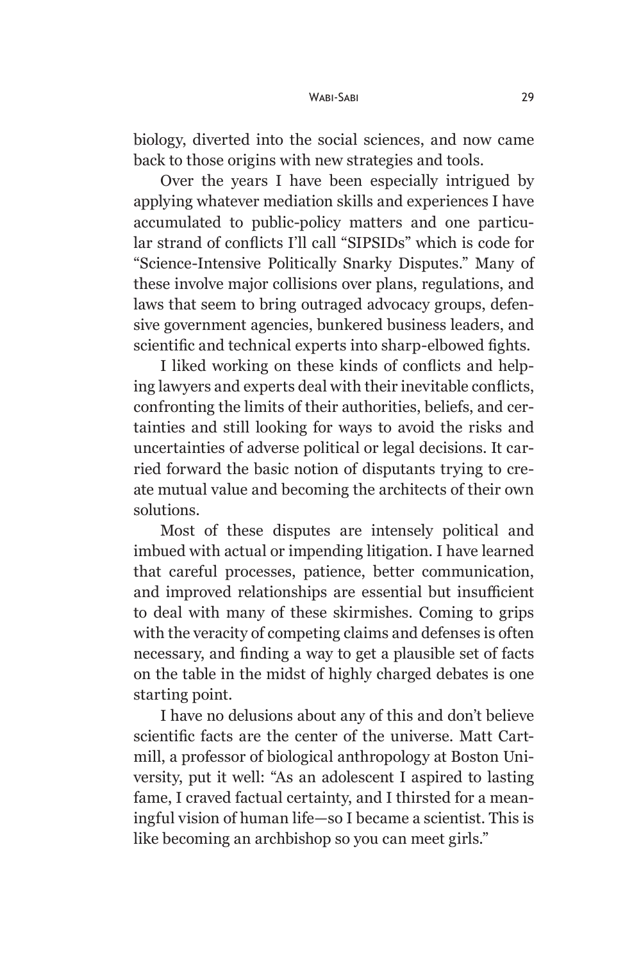biology, diverted into the social sciences, and now came back to those origins with new strategies and tools.

Over the years I have been especially intrigued by applying whatever mediation skills and experiences I have accumulated to public-policy matters and one particular strand of conflicts I'll call "SIPSIDs" which is code for "Science-Intensive Politically Snarky Disputes." Many of these involve major collisions over plans, regulations, and laws that seem to bring outraged advocacy groups, defensive government agencies, bunkered business leaders, and scientific and technical experts into sharp-elbowed fights.

I liked working on these kinds of conflicts and helping lawyers and experts deal with their inevitable conflicts, confronting the limits of their authorities, beliefs, and certainties and still looking for ways to avoid the risks and uncertainties of adverse political or legal decisions. It carried forward the basic notion of disputants trying to create mutual value and becoming the architects of their own solutions.

Most of these disputes are intensely political and imbued with actual or impending litigation. I have learned that careful processes, patience, better communication, and improved relationships are essential but insufficient to deal with many of these skirmishes. Coming to grips with the veracity of competing claims and defenses is often necessary, and finding a way to get a plausible set of facts on the table in the midst of highly charged debates is one starting point.

I have no delusions about any of this and don't believe scientific facts are the center of the universe. Matt Cartmill, a professor of biological anthropology at Boston University, put it well: "As an adolescent I aspired to lasting fame, I craved factual certainty, and I thirsted for a meaningful vision of human life—so I became a scientist. This is like becoming an archbishop so you can meet girls."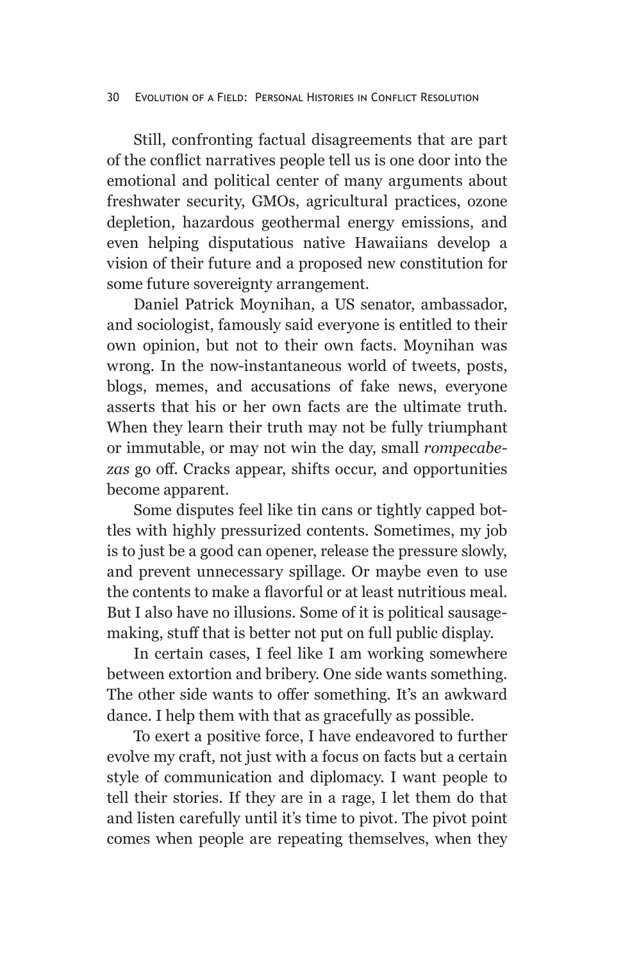### 30 Evolution of a Field: Personal Histories in Conflict Resolution

Still, confronting factual disagreements that are part of the conflict narratives people tell us is one door into the emotional and political center of many arguments about freshwater security, GMOs, agricultural practices, ozone depletion, hazardous geothermal energy emissions, and even helping disputatious native Hawaiians develop a vision of their future and a proposed new constitution for some future sovereignty arrangement.

Daniel Patrick Moynihan, a US senator, ambassador, and sociologist, famously said everyone is entitled to their own opinion, but not to their own facts. Moynihan was wrong. In the now-instantaneous world of tweets, posts, blogs, memes, and accusations of fake news, everyone asserts that his or her own facts are the ultimate truth. When they learn their truth may not be fully triumphant or immutable, or may not win the day, small *rompecabezas* go off. Cracks appear, shifts occur, and opportunities become apparent.

Some disputes feel like tin cans or tightly capped bottles with highly pressurized contents. Sometimes, my job is to just be a good can opener, release the pressure slowly, and prevent unnecessary spillage. Or maybe even to use the contents to make a flavorful or at least nutritious meal. But I also have no illusions. Some of it is political sausagemaking, stuff that is better not put on full public display.

In certain cases, I feel like I am working somewhere between extortion and bribery. One side wants something. The other side wants to offer something. It's an awkward dance. I help them with that as gracefully as possible.

To exert a positive force, I have endeavored to further evolve my craft, not just with a focus on facts but a certain style of communication and diplomacy. I want people to tell their stories. If they are in a rage, I let them do that and listen carefully until it's time to pivot. The pivot point comes when people are repeating themselves, when they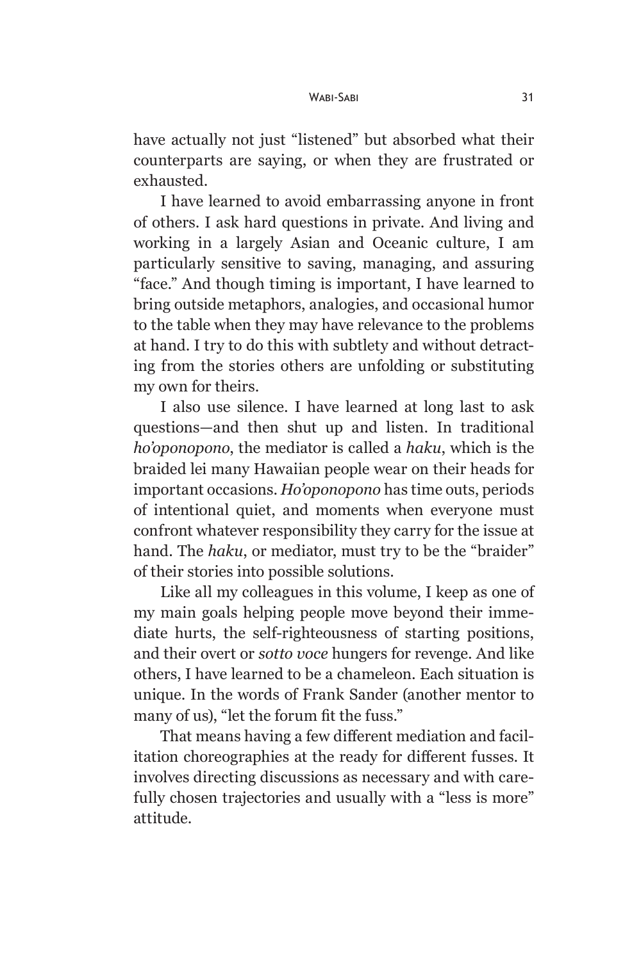have actually not just "listened" but absorbed what their counterparts are saying, or when they are frustrated or exhausted.

I have learned to avoid embarrassing anyone in front of others. I ask hard questions in private. And living and working in a largely Asian and Oceanic culture, I am particularly sensitive to saving, managing, and assuring "face." And though timing is important, I have learned to bring outside metaphors, analogies, and occasional humor to the table when they may have relevance to the problems at hand. I try to do this with subtlety and without detracting from the stories others are unfolding or substituting my own for theirs.

I also use silence. I have learned at long last to ask questions—and then shut up and listen. In traditional *ho'oponopono*, the mediator is called a *haku*, which is the braided lei many Hawaiian people wear on their heads for important occasions. *Ho'oponopono* has time outs, periods of intentional quiet, and moments when everyone must confront whatever responsibility they carry for the issue at hand. The *haku*, or mediator, must try to be the "braider" of their stories into possible solutions.

Like all my colleagues in this volume, I keep as one of my main goals helping people move beyond their immediate hurts, the self-righteousness of starting positions, and their overt or *sotto voce* hungers for revenge. And like others, I have learned to be a chameleon. Each situation is unique. In the words of Frank Sander (another mentor to many of us), "let the forum fit the fuss."

That means having a few different mediation and facilitation choreographies at the ready for different fusses. It involves directing discussions as necessary and with carefully chosen trajectories and usually with a "less is more" attitude.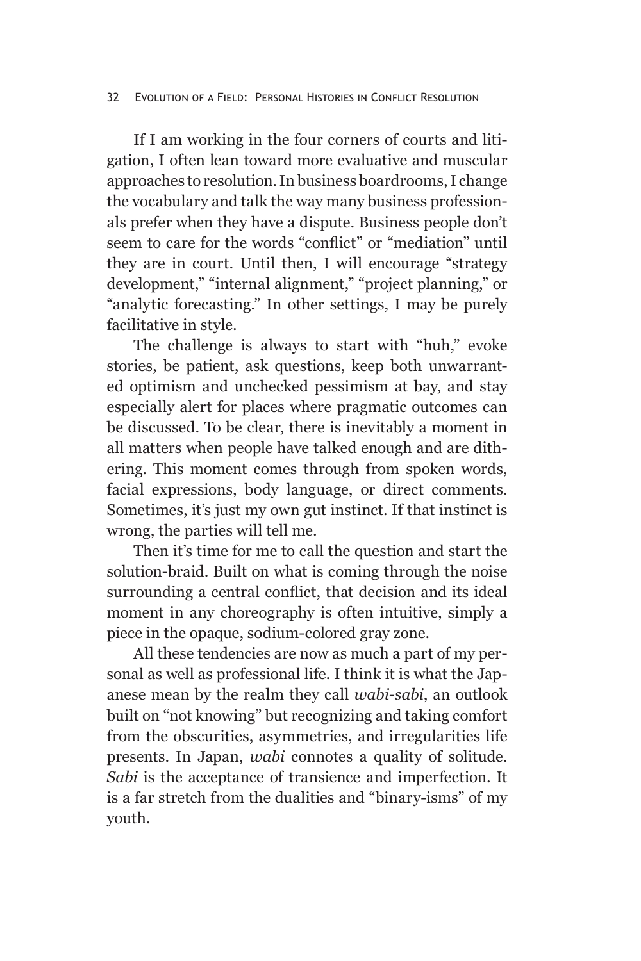## 32 Evolution of a Field: Personal Histories in Conflict Resolution

If I am working in the four corners of courts and litigation, I often lean toward more evaluative and muscular approaches to resolution. In business boardrooms, I change the vocabulary and talk the way many business professionals prefer when they have a dispute. Business people don't seem to care for the words "conflict" or "mediation" until they are in court. Until then, I will encourage "strategy development," "internal alignment," "project planning," or "analytic forecasting." In other settings, I may be purely facilitative in style.

The challenge is always to start with "huh," evoke stories, be patient, ask questions, keep both unwarranted optimism and unchecked pessimism at bay, and stay especially alert for places where pragmatic outcomes can be discussed. To be clear, there is inevitably a moment in all matters when people have talked enough and are dithering. This moment comes through from spoken words, facial expressions, body language, or direct comments. Sometimes, it's just my own gut instinct. If that instinct is wrong, the parties will tell me.

Then it's time for me to call the question and start the solution-braid. Built on what is coming through the noise surrounding a central conflict, that decision and its ideal moment in any choreography is often intuitive, simply a piece in the opaque, sodium-colored gray zone.

All these tendencies are now as much a part of my personal as well as professional life. I think it is what the Japanese mean by the realm they call *wabi-sabi*, an outlook built on "not knowing" but recognizing and taking comfort from the obscurities, asymmetries, and irregularities life presents. In Japan, *wabi* connotes a quality of solitude. *Sabi* is the acceptance of transience and imperfection. It is a far stretch from the dualities and "binary-isms" of my youth.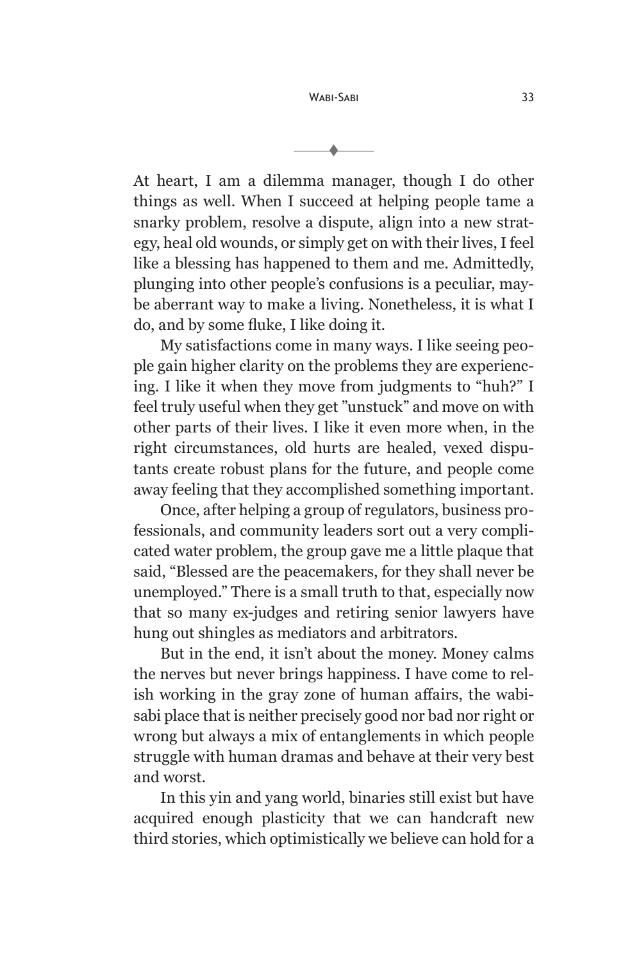t

At heart, I am a dilemma manager, though I do other things as well. When I succeed at helping people tame a snarky problem, resolve a dispute, align into a new strategy, heal old wounds, or simply get on with their lives, I feel like a blessing has happened to them and me. Admittedly, plunging into other people's confusions is a peculiar, maybe aberrant way to make a living. Nonetheless, it is what I do, and by some fluke, I like doing it.

My satisfactions come in many ways. I like seeing people gain higher clarity on the problems they are experiencing. I like it when they move from judgments to "huh?" I feel truly useful when they get "unstuck" and move on with other parts of their lives. I like it even more when, in the right circumstances, old hurts are healed, vexed disputants create robust plans for the future, and people come away feeling that they accomplished something important.

Once, after helping a group of regulators, business professionals, and community leaders sort out a very complicated water problem, the group gave me a little plaque that said, "Blessed are the peacemakers, for they shall never be unemployed." There is a small truth to that, especially now that so many ex-judges and retiring senior lawyers have hung out shingles as mediators and arbitrators.

But in the end, it isn't about the money. Money calms the nerves but never brings happiness. I have come to relish working in the gray zone of human affairs, the wabisabi place that is neither precisely good nor bad nor right or wrong but always a mix of entanglements in which people struggle with human dramas and behave at their very best and worst.

In this yin and yang world, binaries still exist but have acquired enough plasticity that we can handcraft new third stories, which optimistically we believe can hold for a